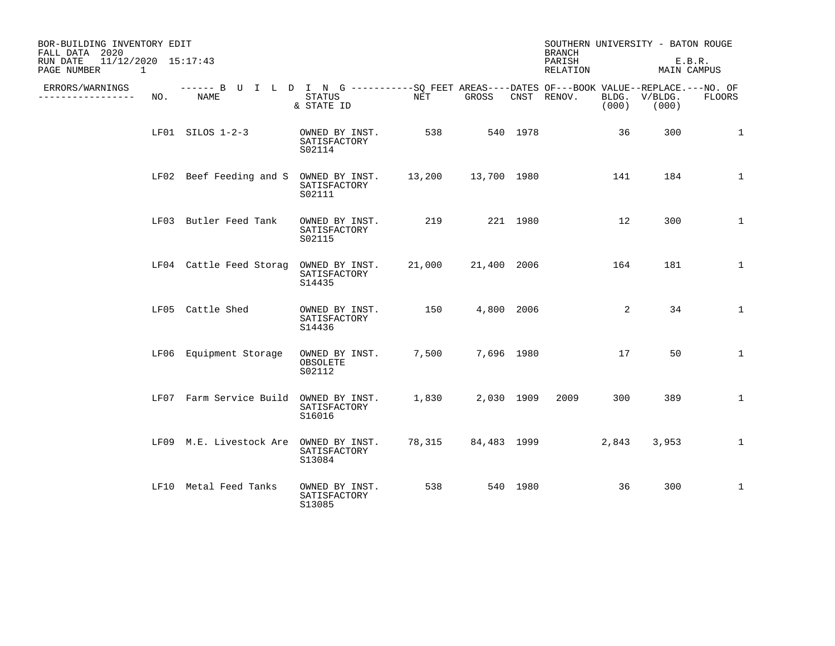| BOR-BUILDING INVENTORY EDIT<br>FALL DATA 2020              |     |                                                                                                    |                                                         |              |                  |          | <b>BRANCH</b>      |       | SOUTHERN UNIVERSITY - BATON ROUGE |              |
|------------------------------------------------------------|-----|----------------------------------------------------------------------------------------------------|---------------------------------------------------------|--------------|------------------|----------|--------------------|-------|-----------------------------------|--------------|
| 11/12/2020 15:17:43<br>RUN DATE<br>PAGE NUMBER<br>$\sim$ 1 |     |                                                                                                    |                                                         |              |                  |          | PARISH<br>RELATION |       | MAIN CAMPUS                       | E.B.R.       |
| ERRORS/WARNINGS<br>____________                            | NO. | ------ B U I L D I N G ----------SO FEET AREAS----DATES OF---BOOK VALUE--REPLACE.---NO. OF<br>NAME | STATUS<br>& STATE ID                                    | NET          | GROSS            |          | CNST RENOV.        | (000) | BLDG. V/BLDG.<br>(000)            | FLOORS       |
|                                                            |     | LF01 SILOS 1-2-3                                                                                   | OWNED BY INST.<br>SATISFACTORY<br>S02114                | 538 539      |                  | 540 1978 |                    | 36    | 300                               | 1            |
|                                                            |     | LF02 Beef Feeding and S OWNED BY INST. 13,200 13,700 1980                                          | SATISFACTORY<br>S02111                                  |              |                  |          |                    | 141   | 184                               | $\mathbf{1}$ |
|                                                            |     | LF03 Butler Feed Tank                                                                              | OWNED BY INST.<br>SATISFACTORY<br>S02115                | 219 221 1980 |                  |          |                    | 12    | 300                               | 1            |
|                                                            |     | LF04 Cattle Feed Storag OWNED BY INST.                                                             | SATISFACTORY<br>S14435                                  |              |                  |          | 21,000 21,400 2006 | 164   | 181                               | 1            |
|                                                            |     | LF05 Cattle Shed                                                                                   | OWNED BY INST. 150 4,800 2006<br>SATISFACTORY<br>S14436 |              |                  |          |                    | 2     | 34                                | $\mathbf{1}$ |
|                                                            |     | LF06 Equipment Storage                                                                             | OWNED BY INST.<br>OBSOLETE<br>S02112                    |              | 7,500 7,696 1980 |          |                    | 17    | 50                                | $\mathbf 1$  |
|                                                            |     | LF07 Farm Service Build OWNED BY INST.                                                             | SATISFACTORY<br>S16016                                  |              | 1,830 2,030 1909 |          | 2009 — 200         | 300   | 389                               | $\mathbf{1}$ |
|                                                            |     | LF09 M.E. Livestock Are OWNED BY INST.                                                             | SATISFACTORY<br>S13084                                  |              |                  |          | 78,315 84,483 1999 | 2,843 | 3,953                             | $\mathbf{1}$ |
|                                                            |     | LF10 Metal Feed Tanks                                                                              | OWNED BY INST.<br>SATISFACTORY<br>S13085                | 538          |                  | 540 1980 |                    | 36    | 300                               | $\mathbf{1}$ |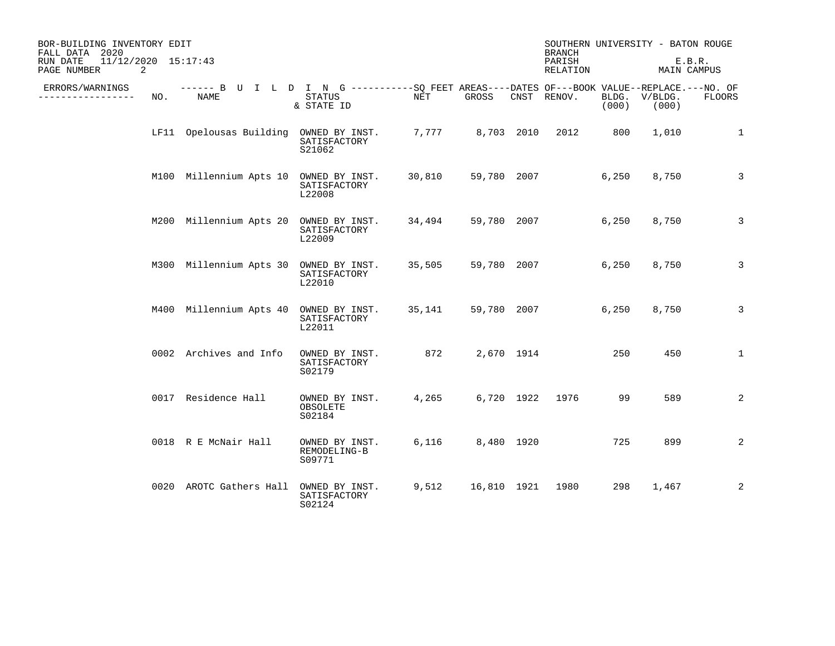| BOR-BUILDING INVENTORY EDIT<br>FALL DATA 2020<br>11/12/2020 15:17:43<br>RUN DATE<br>PAGE NUMBER<br>2 |     |                                                                                                     |                                          |        |             |            | <b>BRANCH</b><br>PARISH<br>RELATION |                | SOUTHERN UNIVERSITY - BATON ROUGE<br>MAIN CAMPUS | E.B.R.         |
|------------------------------------------------------------------------------------------------------|-----|-----------------------------------------------------------------------------------------------------|------------------------------------------|--------|-------------|------------|-------------------------------------|----------------|--------------------------------------------------|----------------|
| ERRORS/WARNINGS<br>--------                                                                          | NO. | ------ B U I L D I N G -----------SQ FEET AREAS----DATES OF---BOOK VALUE--REPLACE.---NO. OF<br>NAME | <b>STATUS</b><br>& STATE ID              | NET    | GROSS       |            | CNST RENOV.                         | BLDG.<br>(000) | V/BLDG.<br>(000)                                 | <b>FLOORS</b>  |
|                                                                                                      |     | LF11 Opelousas Building                                                                             | OWNED BY INST.<br>SATISFACTORY<br>S21062 | 7,777  | 8,703 2010  |            | 2012                                | 800            | 1,010                                            | $\mathbf{1}$   |
|                                                                                                      |     | M100 Millennium Apts 10 OWNED BY INST.                                                              | SATISFACTORY<br>L22008                   | 30,810 | 59,780 2007 |            |                                     | 6,250          | 8,750                                            | 3              |
|                                                                                                      |     | M200 Millennium Apts 20 OWNED BY INST.                                                              | SATISFACTORY<br>L22009                   | 34,494 | 59,780 2007 |            |                                     | 6,250          | 8,750                                            | 3              |
|                                                                                                      |     | M300 Millennium Apts 30 OWNED BY INST.                                                              | SATISFACTORY<br>L22010                   | 35,505 | 59,780 2007 |            |                                     | 6,250          | 8,750                                            | 3              |
|                                                                                                      |     | M400 Millennium Apts 40                                                                             | OWNED BY INST.<br>SATISFACTORY<br>L22011 | 35,141 | 59,780 2007 |            |                                     | 6,250          | 8,750                                            | 3              |
|                                                                                                      |     | 0002 Archives and Info                                                                              | OWNED BY INST.<br>SATISFACTORY<br>S02179 | 872    |             | 2,670 1914 |                                     | 250            | 450                                              | $\mathbf{1}$   |
|                                                                                                      |     | 0017 Residence Hall                                                                                 | OWNED BY INST.<br>OBSOLETE<br>S02184     | 4,265  |             | 6,720 1922 | 1976                                | 99             | 589                                              | 2              |
|                                                                                                      |     | 0018 R E McNair Hall                                                                                | OWNED BY INST.<br>REMODELING-B<br>S09771 | 6,116  | 8,480 1920  |            |                                     | 725            | 899                                              | $\overline{2}$ |
|                                                                                                      |     | 0020 AROTC Gathers Hall                                                                             | OWNED BY INST.<br>SATISFACTORY<br>S02124 | 9,512  | 16,810 1921 |            | 1980                                | 298            | 1,467                                            | 2              |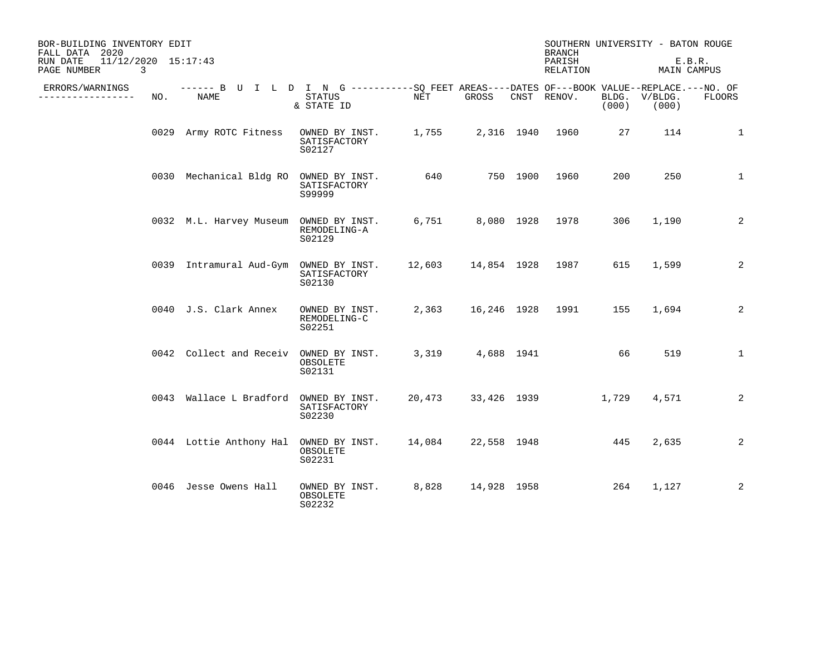| BOR-BUILDING INVENTORY EDIT<br>FALL DATA 2020<br>11/12/2020 15:17:43<br>RUN DATE<br>PAGE NUMBER | 3   |                                                                                                     |                                                                |                   |       | <b>BRANCH</b><br>PARISH<br>RELATION |       | SOUTHERN UNIVERSITY - BATON ROUGE<br>E.B.R.<br>MAIN CAMPUS |              |
|-------------------------------------------------------------------------------------------------|-----|-----------------------------------------------------------------------------------------------------|----------------------------------------------------------------|-------------------|-------|-------------------------------------|-------|------------------------------------------------------------|--------------|
| ERRORS/WARNINGS<br>--------------                                                               | NO. | ------ B U I L D I N G -----------SQ FEET AREAS----DATES OF---BOOK VALUE--REPLACE.---NO. OF<br>NAME | STATUS<br>& STATE ID                                           | NET               | GROSS | CNST RENOV.                         | (000) | BLDG. V/BLDG.<br>(000)                                     | FLOORS       |
|                                                                                                 |     | 0029 Army ROTC Fitness                                                                              | OWNED BY INST. 1,755 2,316 1940 1960<br>SATISFACTORY<br>S02127 |                   |       |                                     | 27    | 114                                                        | 1            |
|                                                                                                 |     | 0030 Mechanical Bldg RO OWNED BY INST.                                                              | SATISFACTORY<br>S99999                                         | 640 750 1900 1960 |       |                                     | 200   | 250                                                        | $\mathbf{1}$ |
|                                                                                                 |     | 0032 M.L. Harvey Museum OWNED BY INST. 6,751 8,080 1928 1978                                        | REMODELING-A<br>S02129                                         |                   |       |                                     | 306   | 1,190                                                      | 2            |
|                                                                                                 |     | 0039 Intramural Aud-Gym OWNED BY INST. 12,603 14,854 1928 1987                                      | SATISFACTORY<br>S02130                                         |                   |       |                                     | 615   | 1,599                                                      | 2            |
|                                                                                                 |     | 0040 J.S. Clark Annex                                                                               | OWNED BY INST.<br>REMODELING-C<br>S02251                       |                   |       | 2,363 16,246 1928 1991              | 155   | 1,694                                                      | 2            |
|                                                                                                 |     | 0042 Collect and Receiv OWNED BY INST.                                                              | OBSOLETE<br>S02131                                             |                   |       | 3,319 4,688 1941                    | 66    | 519                                                        | $\mathbf{1}$ |
|                                                                                                 |     | 0043 Wallace L Bradford OWNED BY INST.                                                              | SATISFACTORY<br>S02230                                         |                   |       | 20,473 33,426 1939 1,729            |       | 4,571                                                      | 2            |
|                                                                                                 |     | 0044 Lottie Anthony Hal                                                                             | OWNED BY INST. 14,084<br>OBSOLETE<br>S02231                    |                   |       | 22,558 1948 445                     |       | 2,635                                                      | 2            |
|                                                                                                 |     | 0046 Jesse Owens Hall                                                                               | OWNED BY INST. 8,828 14,928 1958 264<br>OBSOLETE<br>S02232     |                   |       |                                     |       | 1,127                                                      | 2            |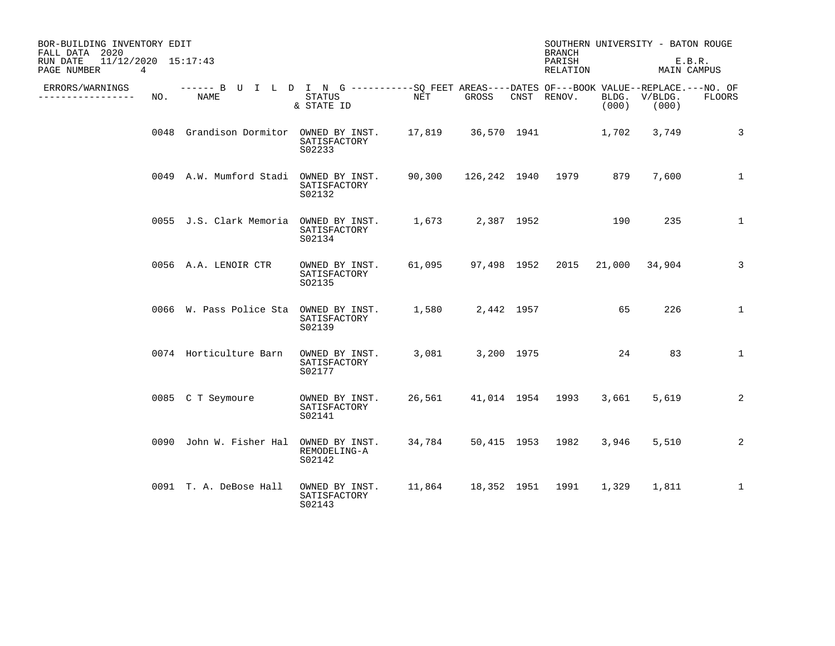| BOR-BUILDING INVENTORY EDIT<br>FALL DATA 2020<br>$11/12/2020$ $15:17:43$<br>RUN DATE |     |                                                                                                    |                                          |                    |                  | <b>BRANCH</b><br>PARISH |                | SOUTHERN UNIVERSITY - BATON ROUGE<br>E.B.R. |               |
|--------------------------------------------------------------------------------------|-----|----------------------------------------------------------------------------------------------------|------------------------------------------|--------------------|------------------|-------------------------|----------------|---------------------------------------------|---------------|
| PAGE NUMBER                                                                          | 4   |                                                                                                    |                                          |                    |                  | RELATION                |                | MAIN CAMPUS                                 |               |
| ERRORS/WARNINGS<br>--------------                                                    | NO. | ------ B U I L D I N G ----------SO FEET AREAS----DATES OF---BOOK VALUE--REPLACE.---NO. OF<br>NAME | <b>STATUS</b><br>& STATE ID              | NET                | GROSS            | CNST RENOV.             | BLDG.<br>(000) | V/BLDG.<br>(000)                            | <b>FLOORS</b> |
|                                                                                      |     | 0048 Grandison Dormitor OWNED BY INST.                                                             | SATISFACTORY<br>S02233                   | 17,819 36,570 1941 |                  |                         | 1,702          | 3,749                                       | 3             |
|                                                                                      |     | 0049 A.W. Mumford Stadi                                                                            | OWNED BY INST.<br>SATISFACTORY<br>S02132 | 90,300             |                  | 126,242 1940 1979       | 879            | 7,600                                       | 1             |
|                                                                                      |     | 0055 J.S. Clark Memoria                                                                            | OWNED BY INST.<br>SATISFACTORY<br>S02134 |                    | 1,673 2,387 1952 |                         | 190            | 235                                         | $\mathbf{1}$  |
|                                                                                      |     | 0056 A.A. LENOIR CTR                                                                               | OWNED BY INST.<br>SATISFACTORY<br>SO2135 | 61,095             |                  | 97,498 1952 2015        | 21,000         | 34,904                                      | 3             |
|                                                                                      |     | 0066 W. Pass Police Sta                                                                            | OWNED BY INST.<br>SATISFACTORY<br>S02139 | 1,580              | 2,442 1957       |                         | 65             | 226                                         | $\mathbf{1}$  |
|                                                                                      |     | 0074 Horticulture Barn                                                                             | OWNED BY INST.<br>SATISFACTORY<br>S02177 | 3,081              | 3,200 1975       |                         | 24             | 83                                          | $\mathbf{1}$  |
|                                                                                      |     | 0085 C T Seymoure                                                                                  | OWNED BY INST.<br>SATISFACTORY<br>S02141 |                    |                  | 26,561 41,014 1954 1993 | 3,661          | 5,619                                       | 2             |
|                                                                                      |     | 0090 John W. Fisher Hal                                                                            | OWNED BY INST.<br>REMODELING-A<br>S02142 | 34,784             |                  | 50,415 1953 1982        | 3,946          | 5,510                                       | 2             |
|                                                                                      |     | 0091 T. A. DeBose Hall                                                                             | OWNED BY INST.<br>SATISFACTORY<br>S02143 | 11,864             | 18,352 1951      | 1991                    | 1,329          | 1,811                                       | $\mathbf{1}$  |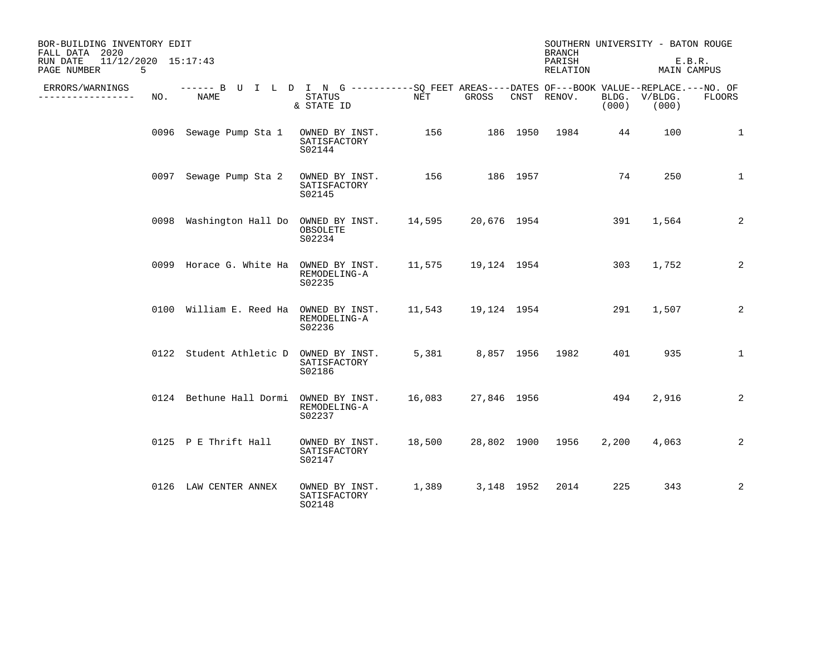| BOR-BUILDING INVENTORY EDIT<br>FALL DATA 2020<br>$11/12/2020$ $15:17:43$<br>RUN DATE<br>PAGE NUMBER<br>5 |     |                                                                                                    |                                          |                    |                   | <b>BRANCH</b><br>PARISH<br>RELATION |       | SOUTHERN UNIVERSITY - BATON ROUGE<br>E.B.R.<br>MAIN CAMPUS |              |
|----------------------------------------------------------------------------------------------------------|-----|----------------------------------------------------------------------------------------------------|------------------------------------------|--------------------|-------------------|-------------------------------------|-------|------------------------------------------------------------|--------------|
| ERRORS/WARNINGS<br>.                                                                                     | NO. | ------ B U I L D I N G ----------SO FEET AREAS----DATES OF---BOOK VALUE--REPLACE.---NO. OF<br>NAME | STATUS<br>& STATE ID                     | NET                | GROSS             | CNST RENOV.                         | (000) | BLDG. V/BLDG.<br>(000)                                     | FLOORS       |
|                                                                                                          |     | 0096 Sewage Pump Sta 1                                                                             | OWNED BY INST.<br>SATISFACTORY<br>S02144 |                    | 156 186 1950 1984 |                                     | 44    | 100                                                        | 1            |
|                                                                                                          |     | 0097 Sewage Pump Sta 2                                                                             | OWNED BY INST.<br>SATISFACTORY<br>S02145 | 156                | 186 1957          |                                     | 74    | 250                                                        | $\mathbf{1}$ |
|                                                                                                          |     | 0098 Washington Hall Do OWNED BY INST. 14,595 20,676 1954                                          | OBSOLETE<br>S02234                       |                    |                   |                                     | 391   | 1,564                                                      | 2            |
|                                                                                                          |     | 0099 Horace G. White Ha OWNED BY INST.                                                             | REMODELING-A<br>S02235                   | 11,575 19,124 1954 |                   |                                     | 303   | 1,752                                                      | 2            |
|                                                                                                          |     | 0100 William E. Reed Ha OWNED BY INST.                                                             | REMODELING-A<br>S02236                   |                    |                   |                                     | 291   | 1,507                                                      | 2            |
|                                                                                                          |     | 0122 Student Athletic D OWNED BY INST.                                                             | SATISFACTORY<br>S02186                   | 5,381              |                   | 8,857 1956 1982                     | 401   | 935                                                        | $\mathbf{1}$ |
|                                                                                                          |     | 0124 Bethune Hall Dormi OWNED BY INST.                                                             | REMODELING-A<br>S02237                   |                    |                   | 16,083 27,846 1956 494              |       | 2,916                                                      | 2            |
|                                                                                                          |     | 0125 P E Thrift Hall                                                                               | OWNED BY INST.<br>SATISFACTORY<br>S02147 | 18,500             |                   | 28,802 1900 1956                    | 2,200 | 4,063                                                      | 2            |
|                                                                                                          |     | 0126 LAW CENTER ANNEX                                                                              | OWNED BY INST.<br>SATISFACTORY<br>SO2148 | 1,389              | 3,148 1952        | 2014                                | 225   | 343                                                        | 2            |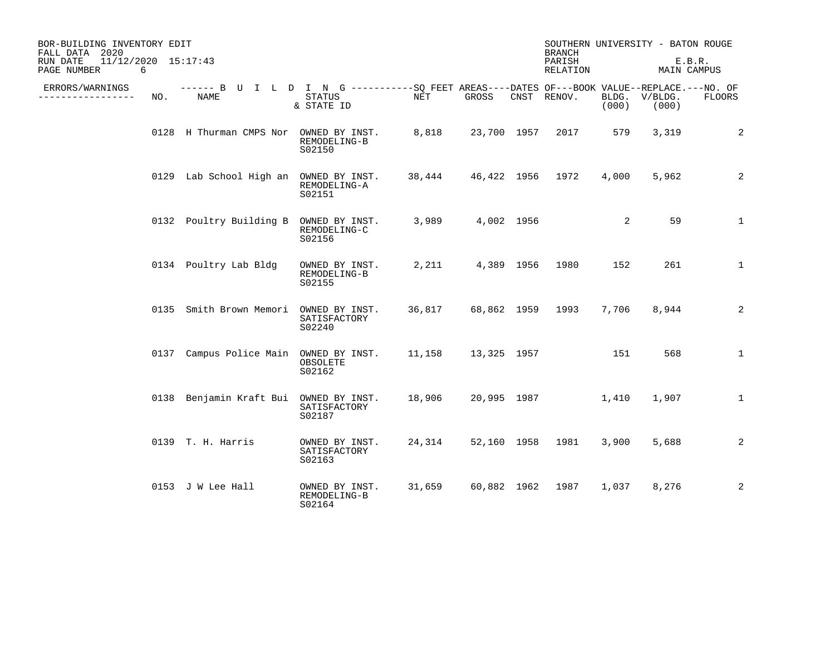| BOR-BUILDING INVENTORY EDIT<br>FALL DATA 2020<br>$11/12/2020$ $15:17:43$<br>RUN DATE<br>PAGE NUMBER | 6   |                                                                                                    |                                          |                        |                       | <b>BRANCH</b><br>PARISH<br>RELATION |                | SOUTHERN UNIVERSITY - BATON ROUGE<br>E.B.R.<br>MAIN CAMPUS |              |
|-----------------------------------------------------------------------------------------------------|-----|----------------------------------------------------------------------------------------------------|------------------------------------------|------------------------|-----------------------|-------------------------------------|----------------|------------------------------------------------------------|--------------|
| ERRORS/WARNINGS<br>-------------                                                                    | NO. | ------ B U I L D I N G ----------SQ FEET AREAS----DATES OF---BOOK VALUE--REPLACE.---NO. OF<br>NAME | STATUS<br>& STATE ID                     | NET                    | GROSS                 | CNST RENOV.                         | BLDG.<br>(000) | $V/BLDG$ .<br>(000)                                        | FLOORS       |
|                                                                                                     |     | 0128 H Thurman CMPS Nor OWNED BY INST.                                                             | REMODELING-B<br>S02150                   | 8,818                  |                       | 23,700 1957 2017 579                |                | 3,319                                                      | 2            |
|                                                                                                     |     | 0129 Lab School High an OWNED BY INST.                                                             | REMODELING-A<br>S02151                   |                        |                       | 38,444 46,422 1956 1972             | 4,000          | 5,962                                                      | 2            |
|                                                                                                     |     | 0132 Poultry Building B                                                                            | OWNED BY INST.<br>REMODELING-C<br>S02156 |                        | 3,989 4,002 1956      |                                     | 2              | 59                                                         | $\mathbf{1}$ |
|                                                                                                     |     | 0134 Poultry Lab Bldg                                                                              | OWNED BY INST.<br>REMODELING-B<br>S02155 |                        | 2,211 4,389 1956 1980 |                                     | 152            | 261                                                        | $\mathbf{1}$ |
|                                                                                                     |     | 0135 Smith Brown Memori                                                                            | OWNED BY INST.<br>SATISFACTORY<br>S02240 |                        |                       | 36,817 68,862 1959 1993             | 7,706          | 8,944                                                      | 2            |
|                                                                                                     |     | 0137 Campus Police Main OWNED BY INST.                                                             | OBSOLETE<br>S02162                       | 11,158 13,325 1957 151 |                       |                                     |                | 568                                                        | $\mathbf{1}$ |
|                                                                                                     |     | 0138 Benjamin Kraft Bui OWNED BY INST.                                                             | SATISFACTORY<br>S02187                   | 18,906                 |                       | 20,995 1987                         | 1,410          | 1,907                                                      | $\mathbf{1}$ |
|                                                                                                     |     | 0139 T. H. Harris                                                                                  | OWNED BY INST.<br>SATISFACTORY<br>S02163 | 24,314                 |                       | 52,160 1958 1981                    | 3,900          | 5,688                                                      | 2            |
|                                                                                                     |     | 0153 J W Lee Hall                                                                                  | OWNED BY INST.<br>REMODELING-B<br>S02164 |                        |                       | 31,659 60,882 1962 1987             | 1,037          | 8,276                                                      | 2            |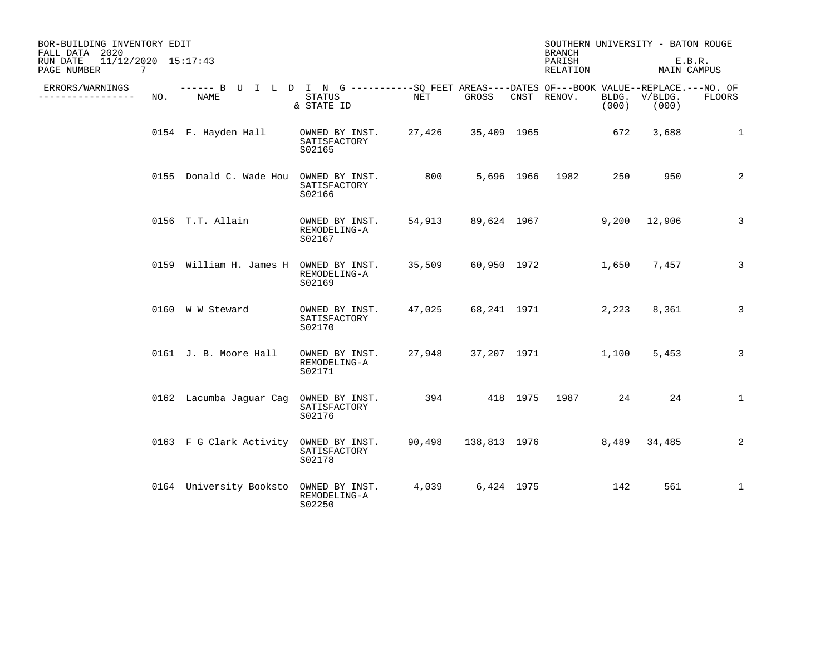| BOR-BUILDING INVENTORY EDIT<br>FALL DATA 2020<br>11/12/2020 15:17:43<br>RUN DATE<br>PAGE NUMBER<br>7 |                                                                                                    |                                          |        |              |            | <b>BRANCH</b><br>PARISH<br>RELATION |                | SOUTHERN UNIVERSITY - BATON ROUGE<br>MAIN CAMPUS | E.B.R.        |
|------------------------------------------------------------------------------------------------------|----------------------------------------------------------------------------------------------------|------------------------------------------|--------|--------------|------------|-------------------------------------|----------------|--------------------------------------------------|---------------|
| ERRORS/WARNINGS<br>---------<br>NO.                                                                  | ------ B U I L D I N G ----------SQ FEET AREAS----DATES OF---BOOK VALUE--REPLACE.---NO. OF<br>NAME | STATUS<br>& STATE ID                     | NET    | GROSS        |            | CNST RENOV.                         | BLDG.<br>(000) | V/BLDG.<br>(000)                                 | <b>FLOORS</b> |
|                                                                                                      | 0154 F. Hayden Hall                                                                                | OWNED BY INST.<br>SATISFACTORY<br>S02165 | 27,426 | 35,409 1965  |            |                                     | 672            | 3,688                                            | $\mathbf{1}$  |
|                                                                                                      | 0155 Donald C. Wade Hou OWNED BY INST.                                                             | SATISFACTORY<br>S02166                   | 800    |              |            | 5,696 1966 1982                     | 250            | 950                                              | 2             |
|                                                                                                      | 0156 T.T. Allain                                                                                   | OWNED BY INST.<br>REMODELING-A<br>S02167 | 54,913 |              |            | 89,624 1967                         | 9,200          | 12,906                                           | 3             |
|                                                                                                      | 0159 William H. James H OWNED BY INST.                                                             | REMODELING-A<br>S02169                   | 35,509 | 60,950 1972  |            |                                     | 1,650          | 7,457                                            | 3             |
|                                                                                                      | 0160 W W Steward                                                                                   | OWNED BY INST.<br>SATISFACTORY<br>S02170 | 47,025 | 68,241 1971  |            |                                     | 2,223          | 8,361                                            | 3             |
|                                                                                                      | 0161 J. B. Moore Hall                                                                              | OWNED BY INST.<br>REMODELING-A<br>S02171 | 27,948 |              |            | 37,207 1971                         | 1,100          | 5,453                                            | 3             |
|                                                                                                      | 0162 Lacumba Jaquar Caq                                                                            | OWNED BY INST.<br>SATISFACTORY<br>S02176 |        | 394 418 1975 |            | 1987                                | 24             | 24                                               | $\mathbf{1}$  |
|                                                                                                      | 0163 F G Clark Activity                                                                            | OWNED BY INST.<br>SATISFACTORY<br>S02178 | 90,498 | 138,813 1976 |            |                                     | 8,489          | 34,485                                           | 2             |
|                                                                                                      | 0164 University Booksto                                                                            | OWNED BY INST.<br>REMODELING-A<br>S02250 | 4,039  |              | 6,424 1975 |                                     | 142            | 561                                              | $\mathbf{1}$  |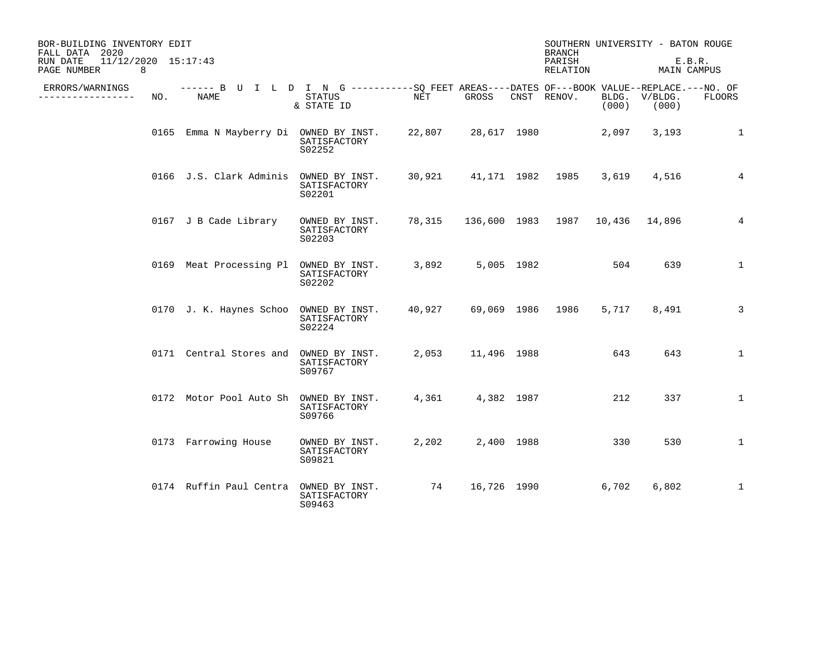| BOR-BUILDING INVENTORY EDIT<br>FALL DATA 2020<br>$11/12/2020$ $15:17:43$<br>RUN DATE<br>8<br>PAGE NUMBER |     |                                                                                                            |                                          |        |             | <b>BRANCH</b><br>PARISH<br>RELATION    |                | SOUTHERN UNIVERSITY - BATON ROUGE<br>MAIN CAMPUS | E.B.R.         |
|----------------------------------------------------------------------------------------------------------|-----|------------------------------------------------------------------------------------------------------------|------------------------------------------|--------|-------------|----------------------------------------|----------------|--------------------------------------------------|----------------|
| ERRORS/WARNINGS<br>___________                                                                           | NO. | ------ B U I L D I N G -----------SQ FEET AREAS----DATES OF---BOOK VALUE--REPLACE.---NO. OF<br><b>NAME</b> | <b>STATUS</b><br>& STATE ID              | NET    | GROSS       | CNST RENOV.                            | BLDG.<br>(000) | V/BLDG.<br>(000)                                 | <b>FLOORS</b>  |
|                                                                                                          |     | 0165 Emma N Mayberry Di OWNED BY INST.                                                                     | SATISFACTORY<br>S02252                   | 22,807 | 28,617 1980 |                                        | 2,097          | 3,193                                            | $\mathbf 1$    |
|                                                                                                          |     | 0166 J.S. Clark Adminis OWNED BY INST.                                                                     | SATISFACTORY<br>S02201                   | 30,921 |             | 41,171 1982 1985                       | 3,619          | 4,516                                            | $\overline{4}$ |
|                                                                                                          |     | 0167 J B Cade Library                                                                                      | OWNED BY INST.<br>SATISFACTORY<br>S02203 |        |             | 78,315 136,600 1983 1987 10,436 14,896 |                |                                                  | $\overline{4}$ |
|                                                                                                          |     | 0169 Meat Processing Pl OWNED BY INST.                                                                     | SATISFACTORY<br>S02202                   | 3,892  | 5,005 1982  |                                        | 504            | 639                                              | $\mathbf{1}$   |
|                                                                                                          |     | 0170 J. K. Haynes Schoo                                                                                    | OWNED BY INST.<br>SATISFACTORY<br>S02224 | 40,927 |             | 69,069 1986 1986                       | 5,717          | 8,491                                            | 3              |
|                                                                                                          |     | 0171 Central Stores and                                                                                    | OWNED BY INST.<br>SATISFACTORY<br>S09767 | 2,053  | 11,496 1988 |                                        | 643            | 643                                              | $\mathbf{1}$   |
|                                                                                                          |     | 0172 Motor Pool Auto Sh OWNED BY INST.                                                                     | SATISFACTORY<br>S09766                   | 4,361  | 4,382 1987  |                                        | 212            | 337                                              | $\mathbf{1}$   |
|                                                                                                          |     | 0173 Farrowing House                                                                                       | OWNED BY INST.<br>SATISFACTORY<br>S09821 | 2,202  | 2,400 1988  |                                        | 330            | 530                                              | $\mathbf 1$    |
|                                                                                                          |     | 0174 Ruffin Paul Centra                                                                                    | OWNED BY INST.<br>SATISFACTORY<br>S09463 | 74     | 16,726 1990 |                                        | 6,702          | 6,802                                            | $\mathbf 1$    |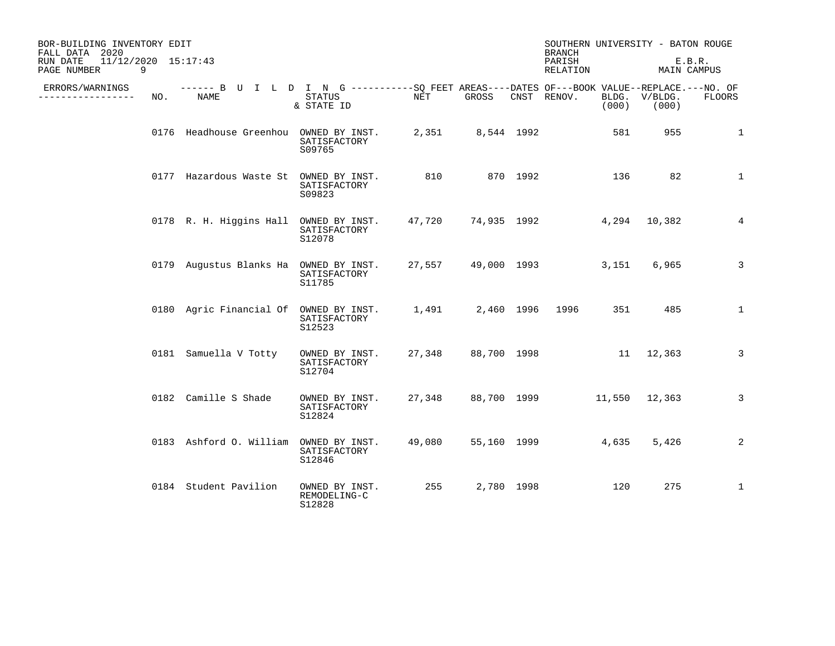| BOR-BUILDING INVENTORY EDIT<br>FALL DATA 2020<br>11/12/2020 15:17:43<br>RUN DATE<br>PAGE NUMBER<br>9 |     |                                                                                                    |                                          |       |                  | <b>BRANCH</b><br>PARISH<br>RELATION |       | SOUTHERN UNIVERSITY - BATON ROUGE<br>E.B.R.<br>MAIN CAMPUS |                 |
|------------------------------------------------------------------------------------------------------|-----|----------------------------------------------------------------------------------------------------|------------------------------------------|-------|------------------|-------------------------------------|-------|------------------------------------------------------------|-----------------|
| ERRORS/WARNINGS<br>-------------                                                                     | NO. | ------ B U I L D I N G ----------SQ FEET AREAS----DATES OF---BOOK VALUE--REPLACE.---NO. OF<br>NAME | STATUS<br>& STATE ID                     | NET   | GROSS            | CNST RENOV.                         | (000) | BLDG. V/BLDG.<br>(000)                                     | FLOORS          |
|                                                                                                      |     | 0176 Headhouse Greenhou OWNED BY INST.                                                             | SATISFACTORY<br>S09765                   |       | 2,351 8,544 1992 |                                     | 581   | 955                                                        | $\mathbf{1}$    |
|                                                                                                      |     | 0177 Hazardous Waste St OWNED BY INST.                                                             | SATISFACTORY<br>S09823                   | 810   | 870 1992         |                                     | 136   | 82                                                         | $\mathbf{1}$    |
|                                                                                                      |     | 0178 R. H. Higgins Hall OWNED BY INST. 47,720 74,935 1992                                          | SATISFACTORY<br>S12078                   |       |                  |                                     |       | 4,294 10,382                                               | $4\overline{ }$ |
|                                                                                                      |     | 0179 Augustus Blanks Ha OWNED BY INST.                                                             | SATISFACTORY<br>S11785                   |       |                  | 27,557 49,000 1993                  | 3,151 | 6,965                                                      | $\mathbf{3}$    |
|                                                                                                      |     | 0180 Agric Financial Of OWNED BY INST. 1,491 2,460 1996 1996                                       | SATISFACTORY<br>S12523                   |       |                  |                                     |       | 485                                                        | $\mathbf{1}$    |
|                                                                                                      |     | 0181 Samuella V Totty                                                                              | OWNED BY INST.<br>SATISFACTORY<br>S12704 |       |                  | 27,348 88,700 1998 11 12,363        |       |                                                            | 3               |
|                                                                                                      |     | 0182 Camille S Shade                                                                               | OWNED BY INST.<br>SATISFACTORY<br>S12824 |       |                  | 27,348 88,700 1999 11,550 12,363    |       |                                                            | 3               |
|                                                                                                      |     | 0183 Ashford O. William OWNED BY INST.                                                             | SATISFACTORY<br>S12846                   |       |                  | 55,160 1999 2001                    | 4,635 | 5,426                                                      | 2               |
|                                                                                                      |     | 0184 Student Pavilion                                                                              | OWNED BY INST.<br>REMODELING-C<br>S12828 | 255 7 | 2,780 1998       |                                     | 120   | 275                                                        | $\mathbf{1}$    |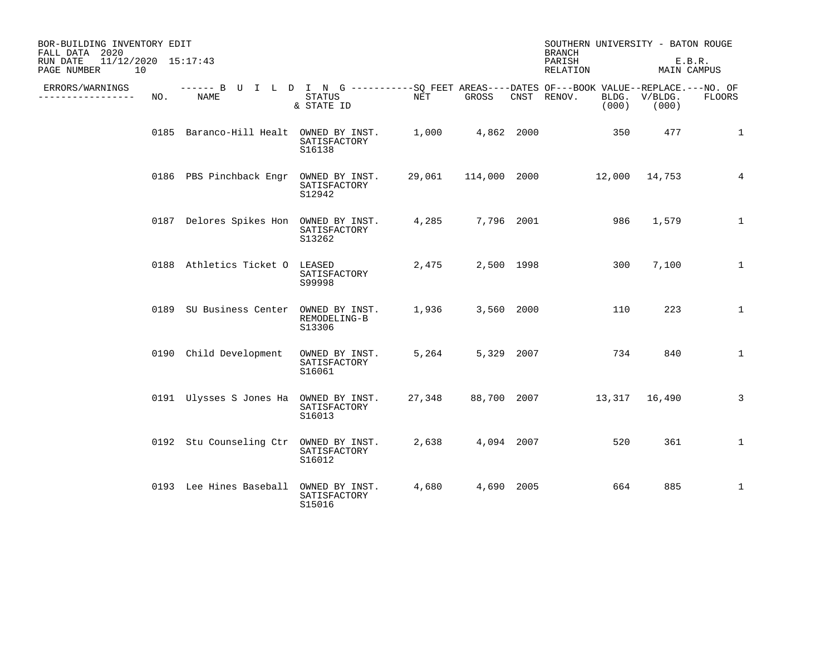| BOR-BUILDING INVENTORY EDIT<br>FALL DATA 2020        |     |                                                                                                           |                                          |        |                     | SOUTHERN UNIVERSITY - BATON ROUGE<br><b>BRANCH</b> |       |                        |                       |
|------------------------------------------------------|-----|-----------------------------------------------------------------------------------------------------------|------------------------------------------|--------|---------------------|----------------------------------------------------|-------|------------------------|-----------------------|
| 11/12/2020 15:17:43<br>RUN DATE<br>10<br>PAGE NUMBER |     |                                                                                                           |                                          |        |                     | PARISH<br>RELATION                                 |       |                        | E.B.R.<br>MAIN CAMPUS |
| ERRORS/WARNINGS<br>-------------                     | NO. | ------ B U I L D I N G ----------SQ FEET AREAS----DATES OF---BOOK VALUE--REPLACE.---NO. OF<br><b>NAME</b> | STATUS<br>& STATE ID                     | NET    | GROSS               | CNST RENOV.                                        | (000) | BLDG. V/BLDG.<br>(000) | <b>FLOORS</b>         |
|                                                      |     | 0185 Baranco-Hill Healt OWNED BY INST.                                                                    | SATISFACTORY<br>S16138                   | 1,000  | 4,862 2000          |                                                    | 350   | 477                    | $\mathbf 1$           |
|                                                      |     | 0186 PBS Pinchback Engr OWNED BY INST.                                                                    | SATISFACTORY<br>S12942                   |        | 29,061 114,000 2000 |                                                    |       | 12,000 14,753          | $\overline{4}$        |
|                                                      |     | 0187 Delores Spikes Hon OWNED BY INST.                                                                    | SATISFACTORY<br>S13262                   | 4,285  | 7,796 2001          |                                                    | 986   | 1,579                  | $\mathbf{1}$          |
|                                                      |     | 0188 Athletics Ticket O LEASED                                                                            | SATISFACTORY<br>S99998                   | 2,475  | 2,500 1998          |                                                    | 300   | 7,100                  | $\mathbf 1$           |
|                                                      |     | 0189 SU Business Center OWNED BY INST.                                                                    | REMODELING-B<br>S13306                   | 1,936  | 3,560 2000          |                                                    | 110   | 223                    | $\mathbf{1}$          |
|                                                      |     | 0190 Child Development                                                                                    | OWNED BY INST.<br>SATISFACTORY<br>S16061 | 5,264  | 5,329 2007          |                                                    | 734   | 840                    | $\mathbf{1}$          |
|                                                      |     | 0191 Ulysses S Jones Ha OWNED BY INST.                                                                    | SATISFACTORY<br>S16013                   | 27,348 | 88,700 2007         |                                                    |       | 13,317 16,490          | 3                     |
|                                                      |     | 0192 Stu Counseling Ctr OWNED BY INST.                                                                    | SATISFACTORY<br>S16012                   | 2,638  | 4,094 2007          |                                                    | 520   | 361                    | $\mathbf{1}$          |
|                                                      |     | 0193 Lee Hines Baseball                                                                                   | OWNED BY INST.<br>SATISFACTORY<br>S15016 | 4,680  | 4,690 2005          |                                                    | 664   | 885                    | $\mathbf 1$           |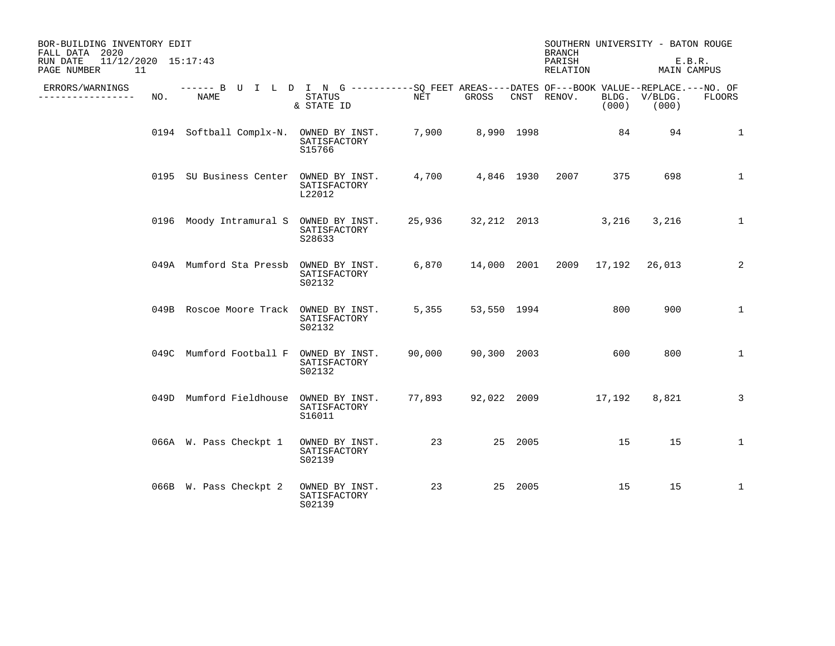| BOR-BUILDING INVENTORY EDIT<br>FALL DATA 2020<br>$11/12/2020$ $15:17:43$<br>RUN DATE<br>PAGE NUMBER<br>11 |     |                                                                                                     |                                          |                    |                  |         | <b>BRANCH</b><br>PARISH<br>RELATION |       | SOUTHERN UNIVERSITY - BATON ROUGE<br>MAIN CAMPUS | E.B.R.       |
|-----------------------------------------------------------------------------------------------------------|-----|-----------------------------------------------------------------------------------------------------|------------------------------------------|--------------------|------------------|---------|-------------------------------------|-------|--------------------------------------------------|--------------|
| ERRORS/WARNINGS<br>______________                                                                         | NO. | ------ B U I L D I N G -----------SQ FEET AREAS----DATES OF---BOOK VALUE--REPLACE.---NO. OF<br>NAME | STATUS<br>& STATE ID                     | NET                | GROSS            |         | CNST RENOV.                         | (000) | BLDG. V/BLDG.<br>(000)                           | FLOORS       |
|                                                                                                           |     | 0194 Softball Complx-N. OWNED BY INST.                                                              | SATISFACTORY<br>S15766                   |                    | 7,900 8,990 1998 |         |                                     | 84    | 94                                               | $\mathbf{1}$ |
|                                                                                                           |     | 0195 SU Business Center OWNED BY INST.                                                              | SATISFACTORY<br>L22012                   |                    |                  |         | 4,700 4,846 1930 2007               | 375   | 698                                              | $\mathbf 1$  |
|                                                                                                           |     | 0196 Moody Intramural S OWNED BY INST.                                                              | SATISFACTORY<br>S28633                   | 25,936 32,212 2013 |                  |         |                                     | 3,216 | 3,216                                            | $\mathbf{1}$ |
|                                                                                                           |     | 049A Mumford Sta Pressb                                                                             | OWNED BY INST.<br>SATISFACTORY<br>S02132 | 6,870              |                  |         | 14,000 2001 2009 17,192 26,013      |       |                                                  | 2            |
|                                                                                                           |     | 049B Roscoe Moore Track OWNED BY INST.                                                              | SATISFACTORY<br>S02132                   | 5,355              | 53,550 1994      |         |                                     | 800   | 900                                              | $\mathbf{1}$ |
|                                                                                                           |     | 049C Mumford Football F OWNED BY INST.                                                              | SATISFACTORY<br>S02132                   | 90,000             | 90,300 2003      |         |                                     | 600   | 800                                              | $\mathbf{1}$ |
|                                                                                                           |     | 049D Mumford Fieldhouse OWNED BY INST.                                                              | SATISFACTORY<br>S16011                   |                    |                  |         | 77,893 92,022 2009 17,192           |       | 8,821                                            | 3            |
|                                                                                                           |     | 066A W. Pass Checkpt 1                                                                              | OWNED BY INST.<br>SATISFACTORY<br>S02139 | 23                 |                  | 25 2005 |                                     | 15    | 15                                               | $\mathbf 1$  |
|                                                                                                           |     | 066B W. Pass Checkpt 2                                                                              | OWNED BY INST.<br>SATISFACTORY<br>S02139 | 23                 |                  | 25 2005 |                                     | 15    | 15                                               | $\mathbf{1}$ |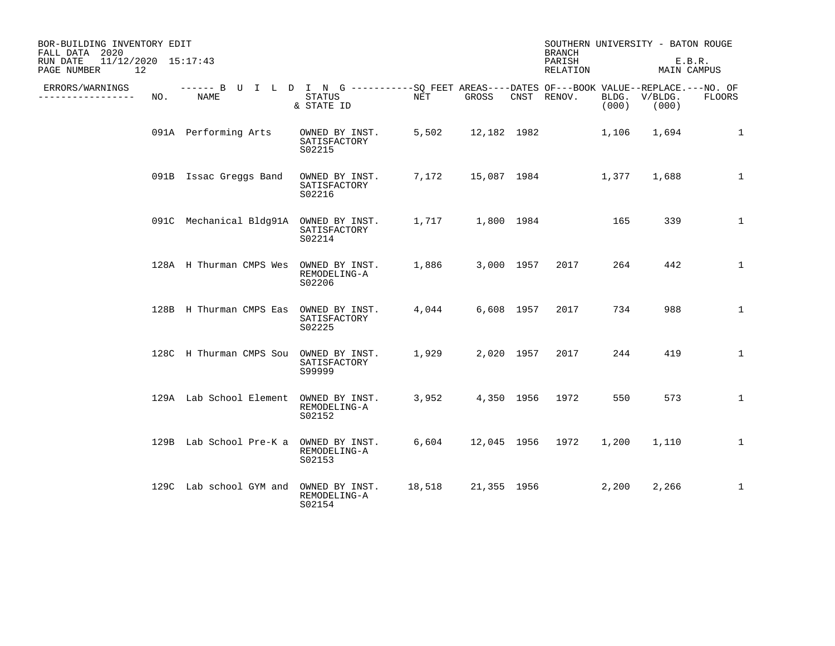| BOR-BUILDING INVENTORY EDIT<br>FALL DATA 2020<br>$11/12/2020$ $15:17:43$<br>RUN DATE |     |                                        |                                                                                                                            |        |             | <b>BRANCH</b><br>PARISH |                | SOUTHERN UNIVERSITY - BATON ROUGE<br>E.B.R. |               |
|--------------------------------------------------------------------------------------|-----|----------------------------------------|----------------------------------------------------------------------------------------------------------------------------|--------|-------------|-------------------------|----------------|---------------------------------------------|---------------|
| 12<br>PAGE NUMBER                                                                    |     |                                        |                                                                                                                            |        |             | RELATION                |                | MAIN CAMPUS                                 |               |
| ERRORS/WARNINGS<br>------------                                                      | NO. | <b>NAME</b>                            | ------ B U I L D I N G -----------SQ FEET AREAS----DATES OF---BOOK VALUE--REPLACE.---NO. OF<br><b>STATUS</b><br>& STATE ID | NET    | GROSS       | CNST RENOV.             | BLDG.<br>(000) | V/BLDG.<br>(000)                            | <b>FLOORS</b> |
|                                                                                      |     | 091A Performing Arts                   | OWNED BY INST.<br>SATISFACTORY<br>S02215                                                                                   | 5,502  | 12,182 1982 |                         | 1,106          | 1,694                                       | $\mathbf 1$   |
|                                                                                      |     | 091B Issac Greggs Band                 | OWNED BY INST.<br>SATISFACTORY<br>S02216                                                                                   | 7,172  | 15,087 1984 |                         | 1,377          | 1,688                                       | $\mathbf 1$   |
|                                                                                      |     | 091C Mechanical Bldg91A OWNED BY INST. | SATISFACTORY<br>S02214                                                                                                     | 1,717  | 1,800 1984  |                         | 165            | 339                                         | $\mathbf{1}$  |
|                                                                                      |     | 128A H Thurman CMPS Wes                | OWNED BY INST.<br>REMODELING-A<br>S02206                                                                                   | 1,886  | 3,000 1957  | 2017                    | 264            | 442                                         | $\mathbf{1}$  |
|                                                                                      |     | 128B H Thurman CMPS Eas                | OWNED BY INST.<br>SATISFACTORY<br>S02225                                                                                   | 4,044  | 6,608 1957  | 2017                    | 734            | 988                                         | $\mathbf{1}$  |
|                                                                                      |     | 128C H Thurman CMPS Sou OWNED BY INST. | SATISFACTORY<br>S99999                                                                                                     | 1,929  | 2,020 1957  | 2017                    | 244            | 419                                         | $\mathbf 1$   |
|                                                                                      |     | 129A Lab School Element                | OWNED BY INST.<br>REMODELING-A<br>S02152                                                                                   | 3,952  | 4,350 1956  | 1972                    | 550            | 573                                         | $\mathbf{1}$  |
|                                                                                      |     | 129B Lab School Pre-K a OWNED BY INST. | REMODELING-A<br>S02153                                                                                                     | 6,604  |             | 12,045 1956 1972        | 1,200          | 1,110                                       | $\mathbf{1}$  |
|                                                                                      |     | 129C Lab school GYM and                | OWNED BY INST.<br>REMODELING-A<br>S02154                                                                                   | 18,518 | 21,355 1956 |                         | 2,200          | 2,266                                       | $\mathbf 1$   |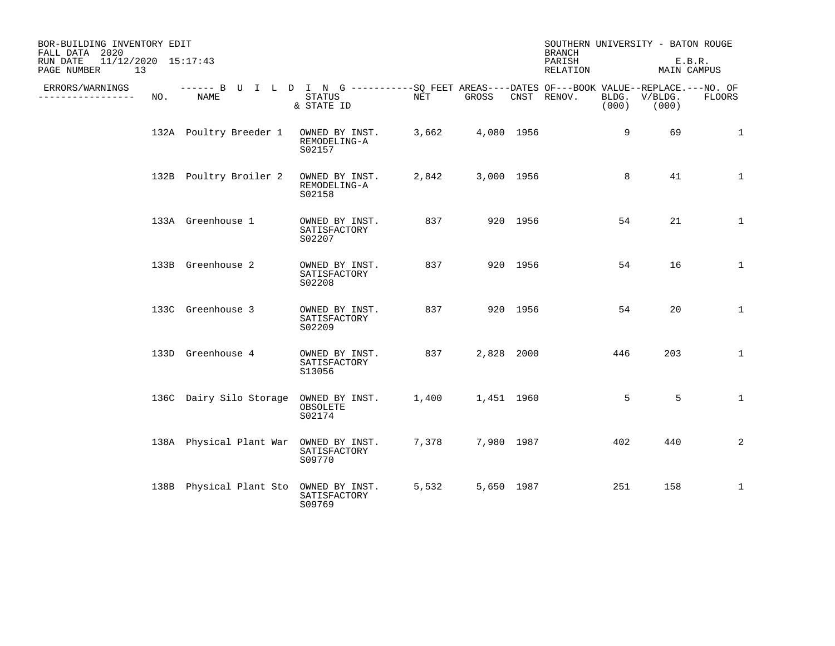| BOR-BUILDING INVENTORY EDIT<br>FALL DATA 2020<br>11/12/2020 15:17:43<br>RUN DATE |     |                                                                                                    |                                          |       |            |          | <b>BRANCH</b><br>PARISH |       | SOUTHERN UNIVERSITY - BATON ROUGE<br>E.B.R. |               |  |
|----------------------------------------------------------------------------------|-----|----------------------------------------------------------------------------------------------------|------------------------------------------|-------|------------|----------|-------------------------|-------|---------------------------------------------|---------------|--|
| 13<br>PAGE NUMBER                                                                |     |                                                                                                    |                                          |       |            |          | RELATION                |       | MAIN CAMPUS                                 |               |  |
| ERRORS/WARNINGS<br>---------------                                               | NO. | ------ B U I L D I N G ----------SO FEET AREAS----DATES OF---BOOK VALUE--REPLACE.---NO. OF<br>NAME | STATUS<br>& STATE ID                     | NET   | GROSS      |          | CNST RENOV.             | (000) | BLDG. V/BLDG.<br>(000)                      | <b>FLOORS</b> |  |
|                                                                                  |     | 132A Poultry Breeder 1                                                                             | OWNED BY INST.<br>REMODELING-A<br>S02157 | 3,662 | 4,080 1956 |          |                         | 9     | 69                                          | $\mathbf{1}$  |  |
|                                                                                  |     | 132B Poultry Broiler 2                                                                             | OWNED BY INST.<br>REMODELING-A<br>S02158 | 2,842 | 3,000 1956 |          |                         | 8     | 41                                          | $\mathbf{1}$  |  |
|                                                                                  |     | 133A Greenhouse 1                                                                                  | OWNED BY INST.<br>SATISFACTORY<br>S02207 | 837   |            | 920 1956 |                         | 54    | 21                                          | $\mathbf{1}$  |  |
|                                                                                  |     | 133B Greenhouse 2                                                                                  | OWNED BY INST.<br>SATISFACTORY<br>S02208 | 837   |            | 920 1956 |                         | 54    | 16                                          | $\mathbf{1}$  |  |
|                                                                                  |     | 133C Greenhouse 3                                                                                  | OWNED BY INST.<br>SATISFACTORY<br>S02209 | 837   |            | 920 1956 |                         | 54    | 20                                          | $\mathbf{1}$  |  |
|                                                                                  |     | 133D Greenhouse 4                                                                                  | OWNED BY INST.<br>SATISFACTORY<br>S13056 | 837   | 2,828 2000 |          |                         | 446   | 203                                         | 1             |  |
|                                                                                  |     | 136C Dairy Silo Storage OWNED BY INST.                                                             | OBSOLETE<br>S02174                       | 1,400 | 1,451 1960 |          |                         | 5     | 5                                           | $\mathbf{1}$  |  |
|                                                                                  |     | 138A Physical Plant War OWNED BY INST.                                                             | SATISFACTORY<br>S09770                   | 7,378 | 7,980 1987 |          |                         | 402   | 440                                         | 2             |  |
|                                                                                  |     | 138B Physical Plant Sto OWNED BY INST.                                                             | SATISFACTORY<br>S09769                   | 5,532 | 5,650 1987 |          |                         | 251   | 158                                         | $\mathbf{1}$  |  |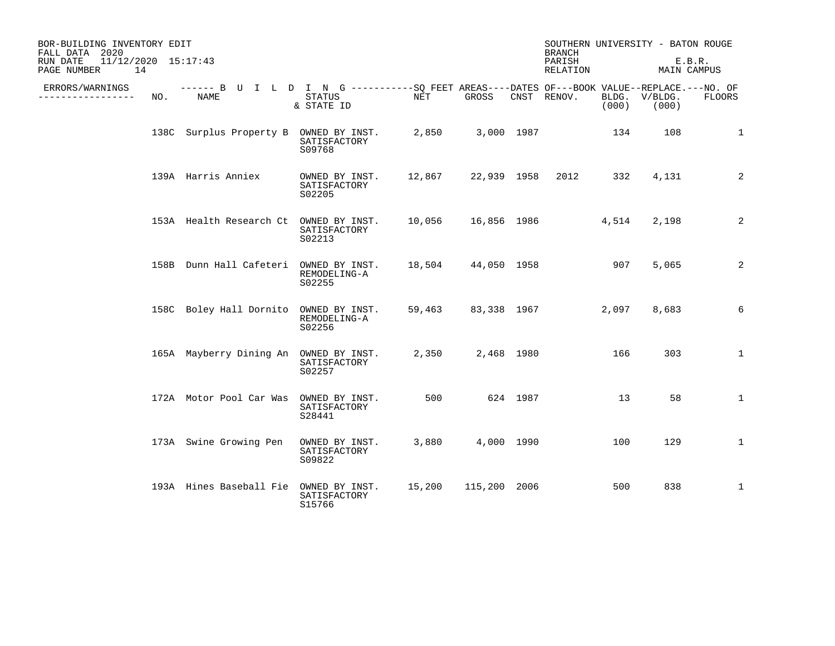| BOR-BUILDING INVENTORY EDIT<br>FALL DATA 2020<br>11/12/2020 15:17:43<br>RUN DATE<br>14<br>PAGE NUMBER |     |                                                                                                     |                                          |        |              | <b>BRANCH</b><br>PARISH<br>RELATION |             | SOUTHERN UNIVERSITY - BATON ROUGE<br>E.B.R.<br>MAIN CAMPUS |                  |               |
|-------------------------------------------------------------------------------------------------------|-----|-----------------------------------------------------------------------------------------------------|------------------------------------------|--------|--------------|-------------------------------------|-------------|------------------------------------------------------------|------------------|---------------|
| ERRORS/WARNINGS<br>.                                                                                  | NO. | ------ B U I L D I N G -----------SQ FEET AREAS----DATES OF---BOOK VALUE--REPLACE.---NO. OF<br>NAME | STATUS<br>& STATE ID                     | NET    | GROSS        |                                     | CNST RENOV. | BLDG.<br>(000)                                             | V/BLDG.<br>(000) | <b>FLOORS</b> |
|                                                                                                       |     | 138C Surplus Property B OWNED BY INST.                                                              | SATISFACTORY<br>S09768                   | 2,850  |              | 3,000 1987                          |             | 134                                                        | 108              | 1             |
|                                                                                                       |     | 139A Harris Anniex                                                                                  | OWNED BY INST.<br>SATISFACTORY<br>S02205 | 12,867 | 22,939 1958  |                                     | 2012        | 332                                                        | 4,131            | 2             |
|                                                                                                       |     | 153A Health Research Ct OWNED BY INST.                                                              | SATISFACTORY<br>S02213                   | 10,056 |              |                                     | 16,856 1986 | 4,514                                                      | 2,198            | 2             |
|                                                                                                       |     | 158B Dunn Hall Cafeteri OWNED BY INST.                                                              | REMODELING-A<br>S02255                   | 18,504 | 44,050 1958  |                                     |             | 907                                                        | 5,065            | 2             |
|                                                                                                       |     | 158C Boley Hall Dornito                                                                             | OWNED BY INST.<br>REMODELING-A<br>S02256 | 59,463 | 83,338 1967  |                                     |             | 2,097                                                      | 8,683            | 6             |
|                                                                                                       |     | 165A Mayberry Dining An OWNED BY INST.                                                              | SATISFACTORY<br>S02257                   | 2,350  |              | 2,468 1980                          |             | 166                                                        | 303              | $\mathbf{1}$  |
|                                                                                                       |     | 172A Motor Pool Car Was                                                                             | OWNED BY INST.<br>SATISFACTORY<br>S28441 | 500    | 624 1987     |                                     |             | 13                                                         | 58               | $\mathbf{1}$  |
|                                                                                                       |     | 173A Swine Growing Pen                                                                              | OWNED BY INST.<br>SATISFACTORY<br>S09822 | 3,880  |              | 4,000 1990                          |             | 100                                                        | 129              | $\mathbf{1}$  |
|                                                                                                       |     | 193A Hines Baseball Fie                                                                             | OWNED BY INST.<br>SATISFACTORY<br>S15766 | 15,200 | 115,200 2006 |                                     |             | 500                                                        | 838              | $\mathbf{1}$  |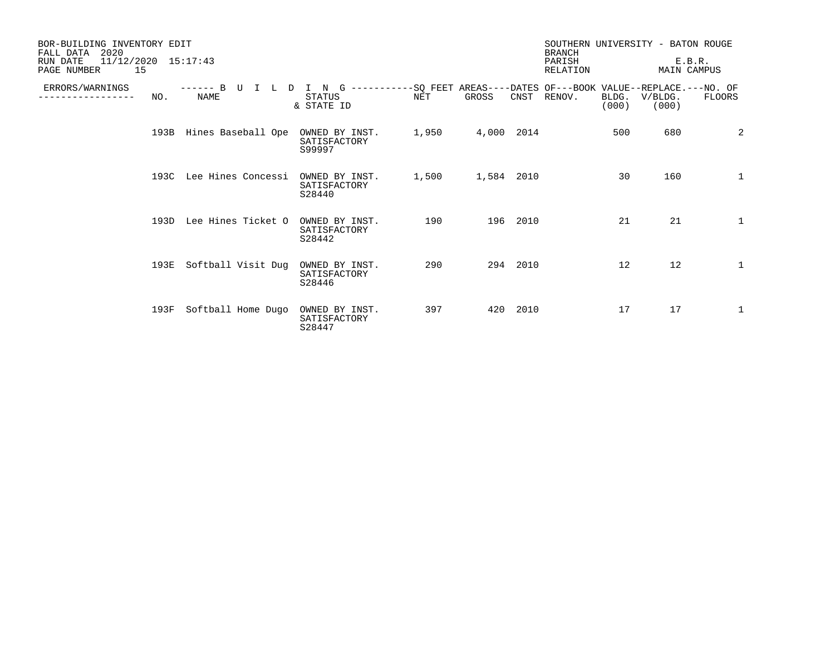| BOR-BUILDING INVENTORY EDIT<br>2020<br>FALL DATA<br>$11/12/2020$ $15:17:43$<br>RUN DATE<br>15<br>PAGE NUMBER |      |                                    |                                                                                                               |       | <b>BRANCH</b><br>PARISH<br><b>RELATION</b> |          | SOUTHERN UNIVERSITY - BATON ROUGE<br>E.B.R.<br><b>MAIN CAMPUS</b> |                |                  |              |
|--------------------------------------------------------------------------------------------------------------|------|------------------------------------|---------------------------------------------------------------------------------------------------------------|-------|--------------------------------------------|----------|-------------------------------------------------------------------|----------------|------------------|--------------|
| ERRORS/WARNINGS                                                                                              | NO.  | B.<br>-------<br>TT<br><b>NAME</b> | -----------SQ FEET AREAS----DATES OF---BOOK VALUE--REPLACE.---NO. OF<br>N<br>G<br><b>STATUS</b><br>& STATE ID | NET   | GROSS                                      | CNST     | RENOV.                                                            | BLDG.<br>(000) | V/BLDG.<br>(000) | FLOORS       |
|                                                                                                              | 193B | Hines Baseball Ope                 | OWNED BY INST.<br>SATISFACTORY<br>S99997                                                                      | 1,950 | 4,000 2014                                 |          |                                                                   | 500            | 680              | 2            |
|                                                                                                              |      | 193C Lee Hines Concessi            | OWNED BY INST.<br>SATISFACTORY<br>S28440                                                                      | 1,500 | 1,584 2010                                 |          |                                                                   | 30             | 160              | 1            |
|                                                                                                              | 193D | Lee Hines Ticket O                 | OWNED BY INST.<br>SATISFACTORY<br>S28442                                                                      | 190   |                                            | 196 2010 |                                                                   | 21             | 21               | 1            |
|                                                                                                              | 193E | Softball Visit Dug                 | OWNED BY INST.<br>SATISFACTORY<br>S28446                                                                      | 290   |                                            | 294 2010 |                                                                   | 12             | 12               | $\mathbf{1}$ |
|                                                                                                              | 193F | Softball Home Dugo                 | OWNED BY INST.<br>SATISFACTORY<br>S28447                                                                      | 397   |                                            | 420 2010 |                                                                   | 17             | 17               | 1            |